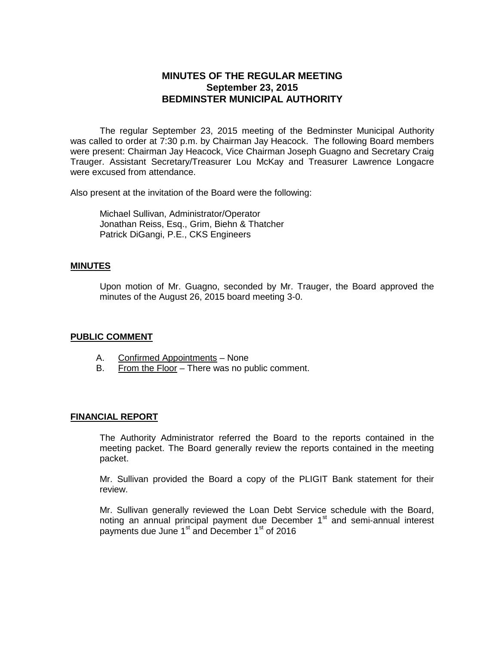# **MINUTES OF THE REGULAR MEETING September 23, 2015 BEDMINSTER MUNICIPAL AUTHORITY**

The regular September 23, 2015 meeting of the Bedminster Municipal Authority was called to order at 7:30 p.m. by Chairman Jay Heacock. The following Board members were present: Chairman Jay Heacock, Vice Chairman Joseph Guagno and Secretary Craig Trauger. Assistant Secretary/Treasurer Lou McKay and Treasurer Lawrence Longacre were excused from attendance.

Also present at the invitation of the Board were the following:

Michael Sullivan, Administrator/Operator Jonathan Reiss, Esq., Grim, Biehn & Thatcher Patrick DiGangi, P.E., CKS Engineers

#### **MINUTES**

Upon motion of Mr. Guagno, seconded by Mr. Trauger, the Board approved the minutes of the August 26, 2015 board meeting 3-0.

#### **PUBLIC COMMENT**

- A. Confirmed Appointments None
- B. From the Floor There was no public comment.

#### **FINANCIAL REPORT**

The Authority Administrator referred the Board to the reports contained in the meeting packet. The Board generally review the reports contained in the meeting packet.

Mr. Sullivan provided the Board a copy of the PLIGIT Bank statement for their review.

Mr. Sullivan generally reviewed the Loan Debt Service schedule with the Board, noting an annual principal payment due December  $1<sup>st</sup>$  and semi-annual interest payments due June 1<sup>st</sup> and December 1<sup>st</sup> of 2016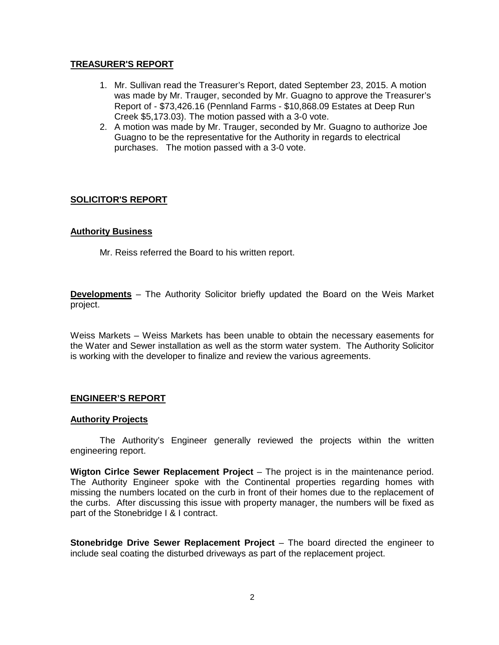### **TREASURER'S REPORT**

- 1. Mr. Sullivan read the Treasurer's Report, dated September 23, 2015. A motion was made by Mr. Trauger, seconded by Mr. Guagno to approve the Treasurer's Report of - \$73,426.16 (Pennland Farms - \$10,868.09 Estates at Deep Run Creek \$5,173.03). The motion passed with a 3-0 vote.
- 2. A motion was made by Mr. Trauger, seconded by Mr. Guagno to authorize Joe Guagno to be the representative for the Authority in regards to electrical purchases. The motion passed with a 3-0 vote.

## **SOLICITOR'S REPORT**

### **Authority Business**

Mr. Reiss referred the Board to his written report.

**Developments** – The Authority Solicitor briefly updated the Board on the Weis Market project.

Weiss Markets – Weiss Markets has been unable to obtain the necessary easements for the Water and Sewer installation as well as the storm water system. The Authority Solicitor is working with the developer to finalize and review the various agreements.

## **ENGINEER'S REPORT**

#### **Authority Projects**

The Authority's Engineer generally reviewed the projects within the written engineering report.

**Wigton Cirlce Sewer Replacement Project** – The project is in the maintenance period. The Authority Engineer spoke with the Continental properties regarding homes with missing the numbers located on the curb in front of their homes due to the replacement of the curbs. After discussing this issue with property manager, the numbers will be fixed as part of the Stonebridge I & I contract.

**Stonebridge Drive Sewer Replacement Project** – The board directed the engineer to include seal coating the disturbed driveways as part of the replacement project.